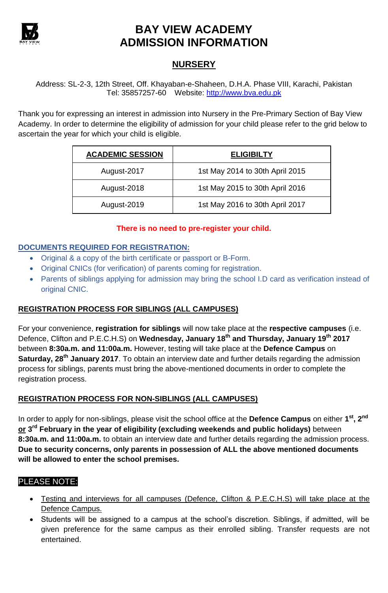

# **BAY VIEW ACADEMY ADMISSION INFORMATION**

## **NURSERY**

Address: SL-2-3, 12th Street, Off. Khayaban-e-Shaheen, D.H.A. Phase VIII, Karachi, Pakistan Tel: 35857257-60 Website: [http://www.bva.edu.pk](http://www.bva.edu.pk/)

Thank you for expressing an interest in admission into Nursery in the Pre-Primary Section of Bay View Academy. In order to determine the eligibility of admission for your child please refer to the grid below to ascertain the year for which your child is eligible.

| <b>ACADEMIC SESSION</b> | <b>ELIGIBILTY</b>               |
|-------------------------|---------------------------------|
| August-2017             | 1st May 2014 to 30th April 2015 |
| August-2018             | 1st May 2015 to 30th April 2016 |
| August-2019             | 1st May 2016 to 30th April 2017 |

### **There is no need to pre-register your child.**

## **DOCUMENTS REQUIRED FOR REGISTRATION:**

- Original & a copy of the birth certificate or passport or B-Form.
- Original CNICs (for verification) of parents coming for registration.
- Parents of siblings applying for admission may bring the school I.D card as verification instead of original CNIC.

## **REGISTRATION PROCESS FOR SIBLINGS (ALL CAMPUSES)**

For your convenience, **registration for siblings** will now take place at the **respective campuses** (i.e. Defence, Clifton and P.E.C.H.S) on **Wednesday, January 18th and Thursday, January 19th 2017** between **8:30a.m. and 11:00a.m.** However, testing will take place at the **Defence Campus** on **Saturday, 28th January 2017**. To obtain an interview date and further details regarding the admission process for siblings, parents must bring the above-mentioned documents in order to complete the registration process.

### **REGISTRATION PROCESS FOR NON-SIBLINGS (ALL CAMPUSES)**

In order to apply for non-siblings, please visit the school office at the **Defence Campus** on either **1 st, 2nd or 3 rd February in the year of eligibility (excluding weekends and public holidays)** between **8:30a.m. and 11:00a.m.** to obtain an interview date and further details regarding the admission process. **Due to security concerns, only parents in possession of ALL the above mentioned documents will be allowed to enter the school premises.**

### PLEASE NOTE:

- Testing and interviews for all campuses (Defence, Clifton & P.E.C.H.S) will take place at the Defence Campus.
- Students will be assigned to a campus at the school's discretion. Siblings, if admitted, will be given preference for the same campus as their enrolled sibling. Transfer requests are not entertained.